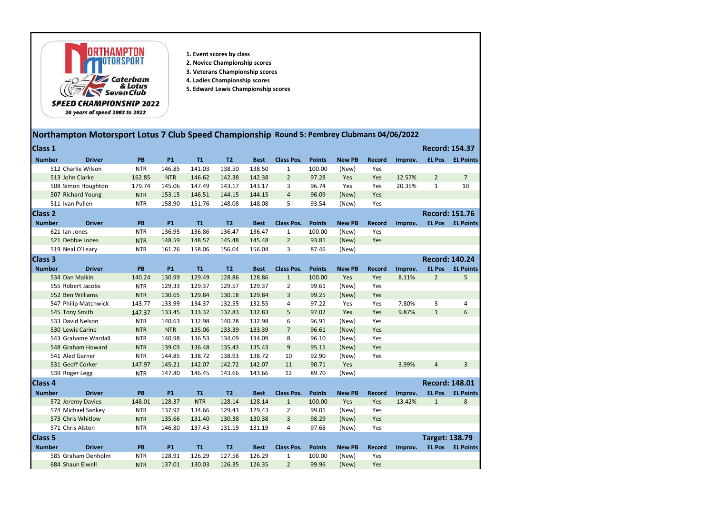

- 1. Event scores by class
- 2. Novice Championship scores
- 3. Veterans Championship scores
- 4. Ladies Championship scores
- 5. Edward Lewis Championship scores

## Northampton Motorsport Lotus 7 Club Speed Championship Round 5: Pembrey Clubmans 04/06/2022

| Class 1        |                      |            |            |            |                |             |                   |               |               |               |         | <b>Record: 154.37</b> |                         |
|----------------|----------------------|------------|------------|------------|----------------|-------------|-------------------|---------------|---------------|---------------|---------|-----------------------|-------------------------|
| <b>Number</b>  | <b>Driver</b>        | PB         | <b>P1</b>  | <b>T1</b>  | T <sub>2</sub> | <b>Best</b> | <b>Class Pos.</b> | <b>Points</b> | <b>New PB</b> | <b>Record</b> | Improv. | <b>EL Pos</b>         | <b>EL Points</b>        |
|                | 512 Charlie Wilson   | <b>NTR</b> | 146.85     | 141.03     | 138.50         | 138.50      | 1                 | 100.00        | (New)         | Yes           |         |                       |                         |
|                | 513 John Clarke      | 162.85     | <b>NTR</b> | 146.62     | 142.38         | 142.38      | $\overline{2}$    | 97.28         | Yes           | Yes           | 12.57%  | $\overline{2}$        | $\overline{7}$          |
|                | 508 Simon Houghton   | 179.74     | 145.06     | 147.49     | 143.17         | 143.17      | 3                 | 96.74         | Yes           | Yes           | 20.35%  | $\mathbf{1}$          | 10                      |
|                | 507 Richard Young    | <b>NTR</b> | 153.15     | 146.51     | 144.15         | 144.15      | $\overline{4}$    | 96.09         | (New)         | Yes           |         |                       |                         |
|                | 511 Ivan Pullen      | <b>NTR</b> | 158.90     | 151.76     | 148.08         | 148.08      | 5                 | 93.54         | (New)         | Yes           |         |                       |                         |
| <b>Class 2</b> |                      |            |            |            |                |             |                   |               |               |               |         |                       | <b>Record: 151.76</b>   |
| <b>Number</b>  | <b>Driver</b>        | PB         | <b>P1</b>  | T1         | T <sub>2</sub> | <b>Best</b> | <b>Class Pos.</b> | <b>Points</b> | <b>New PB</b> | <b>Record</b> | Improv. | <b>EL Pos</b>         | <b>EL Points</b>        |
|                | 621 Ian Jones        | <b>NTR</b> | 136.95     | 136.86     | 136.47         | 136.47      | $\mathbf{1}$      | 100.00        | (New)         | Yes           |         |                       |                         |
|                | 521 Debbie Jones     | <b>NTR</b> | 148.59     | 148.57     | 145.48         | 145.48      | $\overline{2}$    | 93.81         | (New)         | Yes           |         |                       |                         |
|                | 519 Neal O'Leary     | <b>NTR</b> | 161.76     | 158.06     | 156.04         | 156.04      | 3                 | 87.46         | (New)         |               |         |                       |                         |
| <b>Class 3</b> |                      |            |            |            |                |             |                   |               |               |               |         |                       | <b>Record: 140.24</b>   |
| <b>Number</b>  | <b>Driver</b>        | PB         | <b>P1</b>  | T1         | T <sub>2</sub> | <b>Best</b> | <b>Class Pos.</b> | <b>Points</b> | <b>New PB</b> | <b>Record</b> | Improv. | <b>EL Pos</b>         | <b>EL Points</b>        |
|                | 534 Dan Malkin       | 140.24     | 130.99     | 129.49     | 128.86         | 128.86      | $\mathbf{1}$      | 100.00        | Yes           | Yes           | 8.11%   | $\overline{2}$        | 5                       |
|                | 555 Robert Jacobs    | <b>NTR</b> | 129.33     | 129.37     | 129.57         | 129.37      | $\overline{2}$    | 99.61         | (New)         | Yes           |         |                       |                         |
|                | 552 Ben Williams     | <b>NTR</b> | 130.65     | 129.84     | 130.18         | 129.84      | 3                 | 99.25         | (New)         | Yes           |         |                       |                         |
|                | 547 Philip Matchwick | 143.77     | 133.99     | 134.37     | 132.55         | 132.55      | 4                 | 97.22         | Yes           | Yes           | 7.80%   | 3                     | $\overline{4}$          |
|                | 545 Tony Smith       | 147.37     | 133.45     | 133.32     | 132.83         | 132.83      | 5                 | 97.02         | Yes           | Yes           | 9.87%   | $\mathbf{1}$          | $6\,$                   |
|                | 533 David Nelson     | <b>NTR</b> | 140.63     | 132.98     | 140.28         | 132.98      | 6                 | 96.91         | (New)         | Yes           |         |                       |                         |
|                | 530 Lewis Carine     | <b>NTR</b> | <b>NTR</b> | 135.06     | 133.39         | 133.39      | $\overline{7}$    | 96.61         | (New)         | Yes           |         |                       |                         |
|                | 543 Grahame Wardall  | <b>NTR</b> | 140.98     | 136.53     | 134.09         | 134.09      | 8                 | 96.10         | (New)         | Yes           |         |                       |                         |
|                | 548 Graham Howard    | <b>NTR</b> | 139.03     | 136.48     | 135.43         | 135.43      | 9                 | 95.15         | (New)         | Yes           |         |                       |                         |
|                | 541 Aled Garner      | <b>NTR</b> | 144.85     | 138.72     | 138.93         | 138.72      | 10                | 92.90         | (New)         | Yes           |         |                       |                         |
|                | 531 Geoff Corker     | 147.97     | 145.21     | 142.07     | 142.72         | 142.07      | 11                | 90.71         | Yes           |               | 3.99%   | $\overline{4}$        | $\overline{3}$          |
|                | 539 Roger Legg       | <b>NTR</b> | 147.80     | 146.45     | 143.66         | 143.66      | 12                | 89.70         | (New)         |               |         |                       |                         |
| Class 4        |                      |            |            |            |                |             |                   |               |               |               |         |                       | <b>Record: 148.01</b>   |
| <b>Number</b>  | <b>Driver</b>        | PB         | <b>P1</b>  | <b>T1</b>  | T2             | <b>Best</b> | <b>Class Pos.</b> | <b>Points</b> | <b>New PB</b> | <b>Record</b> | Improv. | <b>EL Pos</b>         | <b>EL Points</b>        |
|                | 572 Jeremy Davies    | 148.01     | 128.37     | <b>NTR</b> | 128.14         | 128.14      | $\mathbf{1}$      | 100.00        | Yes           | Yes           | 13.42%  | $\mathbf{1}$          | $\bf 8$                 |
|                | 574 Michael Sankey   | <b>NTR</b> | 137.92     | 134.66     | 129.43         | 129.43      | $\mathcal{P}$     | 99.01         | (New)         | Yes           |         |                       |                         |
|                | 573 Chris Whitlow    | <b>NTR</b> | 135.66     | 131.40     | 130.38         | 130.38      | 3                 | 98.29         | (New)         | Yes           |         |                       |                         |
|                | 571 Chris Alston     | <b>NTR</b> | 146.80     | 137.43     | 131.19         | 131.19      | 4                 | 97.68         | (New)         | Yes           |         |                       |                         |
| Class 5        |                      |            |            |            |                |             |                   |               |               |               |         |                       | <b>Target: 138.79</b>   |
| <b>Number</b>  | <b>Driver</b>        | <b>PB</b>  | <b>P1</b>  | T1         | T2             | <b>Best</b> | <b>Class Pos.</b> | <b>Points</b> | <b>New PB</b> | <b>Record</b> | Improv. |                       | <b>EL Pos EL Points</b> |
|                | 585 Graham Denholm   | <b>NTR</b> | 128.91     | 126.29     | 127.58         | 126.29      | 1                 | 100.00        | (New)         | Yes           |         |                       |                         |
|                | 684 Shaun Elwell     | <b>NTR</b> | 137.01     | 130.03     | 126.35         | 126.35      | $2^{\circ}$       | 99.96         | (New)         | Yes           |         |                       |                         |
|                |                      |            |            |            |                |             |                   |               |               |               |         |                       |                         |